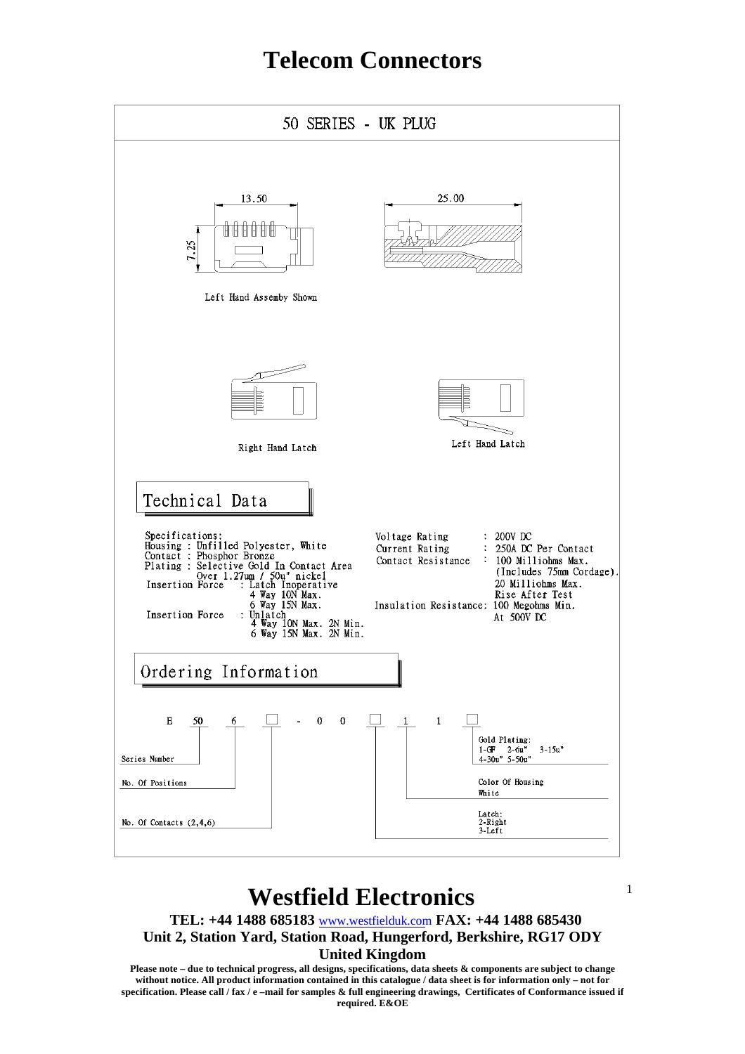

### **Westfield Electronics**

**TEL: +44 1488 685183** www.westfielduk.com **FAX: +44 1488 685430 Unit 2, Station Yard, Station Road, Hungerford, Berkshire, RG17 ODY**

#### **United Kingdom**

**Please note – due to technical progress, all designs, specifications, data sheets & components are subject to change without notice. All product information contained in this catalogue / data sheet is for information only – not for specification. Please call / fax / e –mail for samples & full engineering drawings, Certificates of Conformance issued if required. E&OE**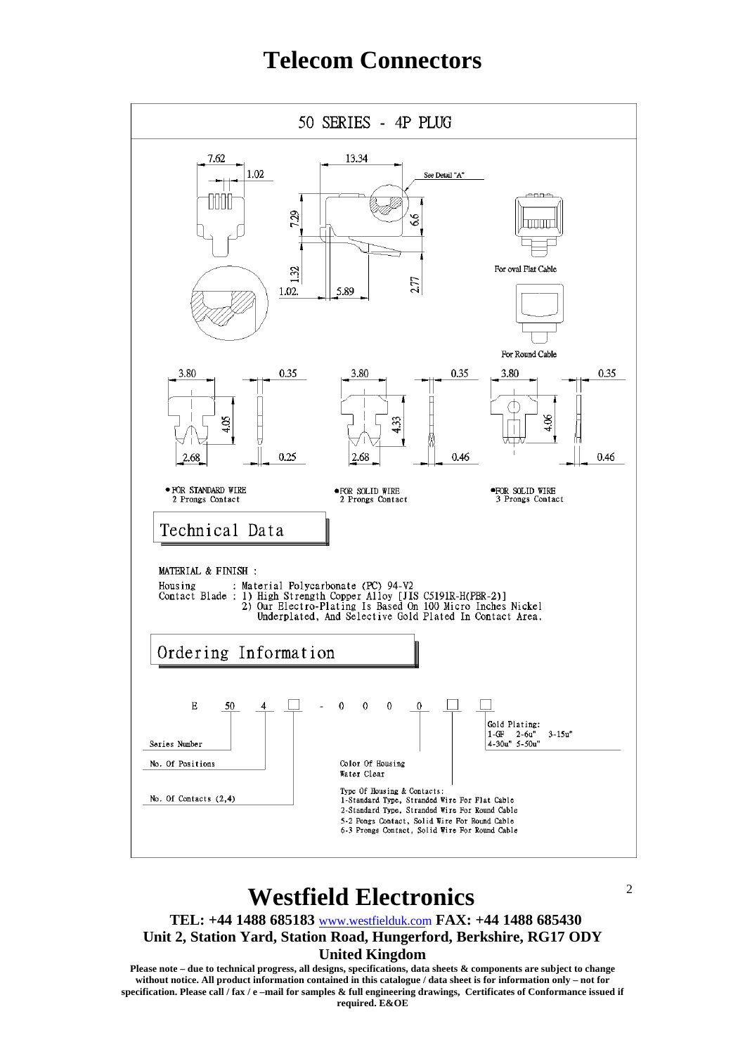

### **Westfield Electronics**

**TEL: +44 1488 685183** www.westfielduk.com **FAX: +44 1488 685430 Unit 2, Station Yard, Station Road, Hungerford, Berkshire, RG17 ODY**

#### **United Kingdom**

**Please note – due to technical progress, all designs, specifications, data sheets & components are subject to change without notice. All product information contained in this catalogue / data sheet is for information only – not for specification. Please call / fax / e –mail for samples & full engineering drawings, Certificates of Conformance issued if required. E&OE**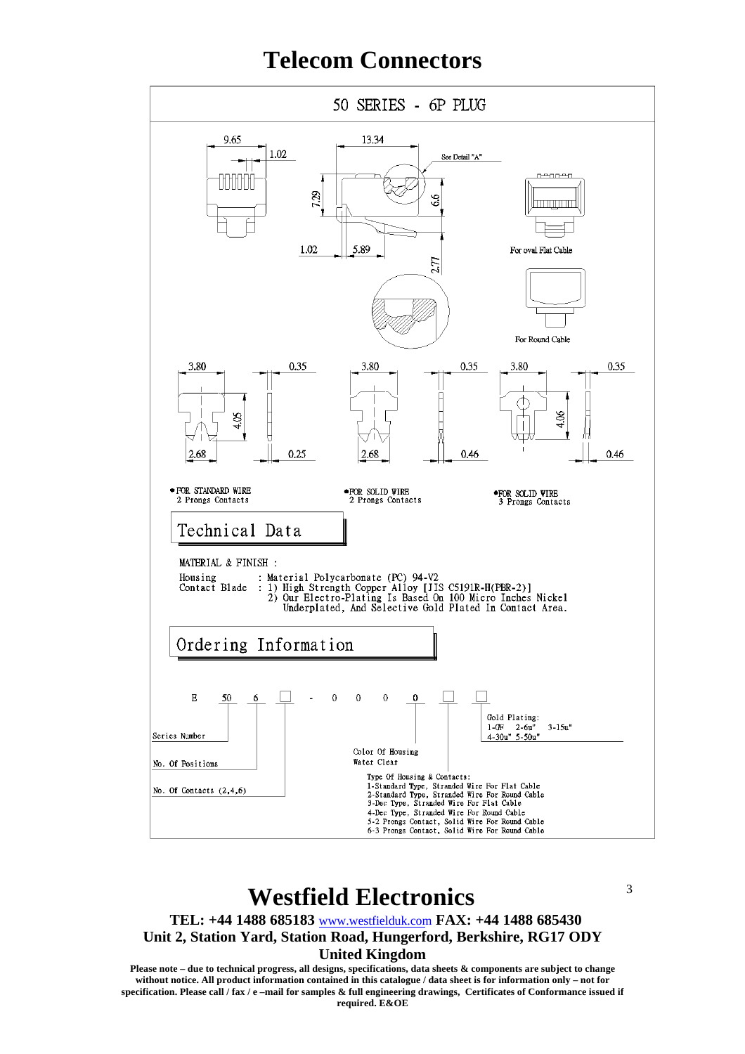

### **Westfield Electronics**

**TEL: +44 1488 685183** www.westfielduk.com **FAX: +44 1488 685430 Unit 2, Station Yard, Station Road, Hungerford, Berkshire, RG17 ODY** 3

#### **United Kingdom**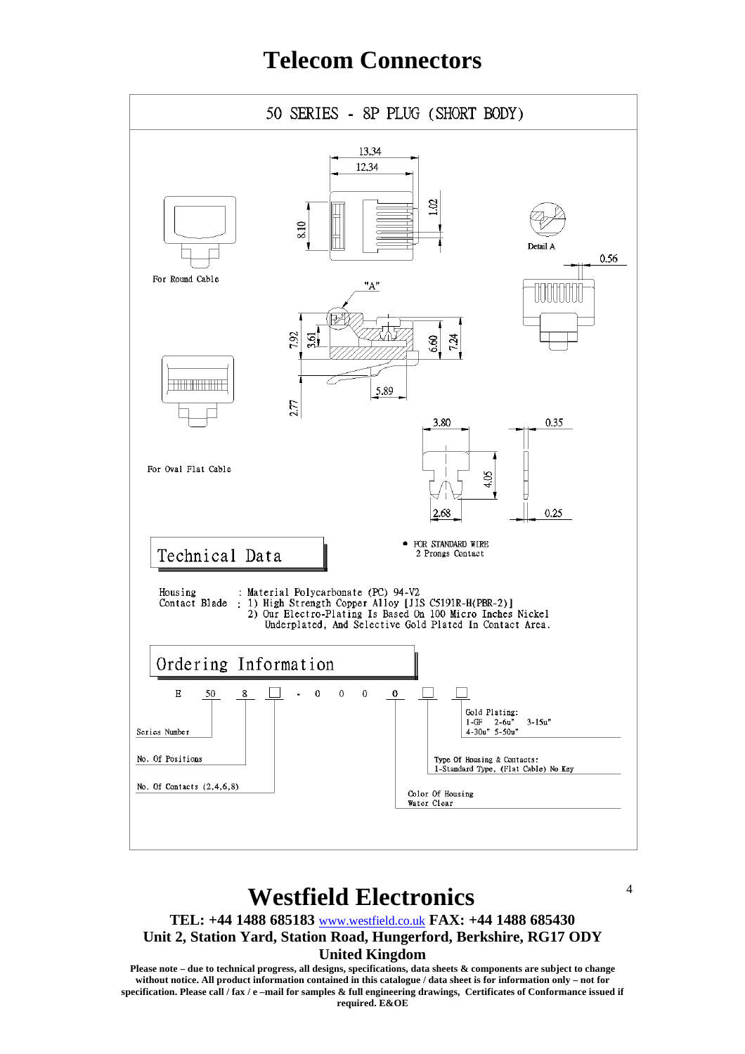

### **Westfield Electronics**

**TEL: +44 1488 685183** www.westfield.co.uk **FAX: +44 1488 685430**

**Unit 2, Station Yard, Station Road, Hungerford, Berkshire, RG17 ODY United Kingdom**

**Please note – due to technical progress, all designs, specifications, data sheets & components are subject to change without notice. All product information contained in this catalogue / data sheet is for information only – not for specification. Please call / fax / e –mail for samples & full engineering drawings, Certificates of Conformance issued if required. E&OE**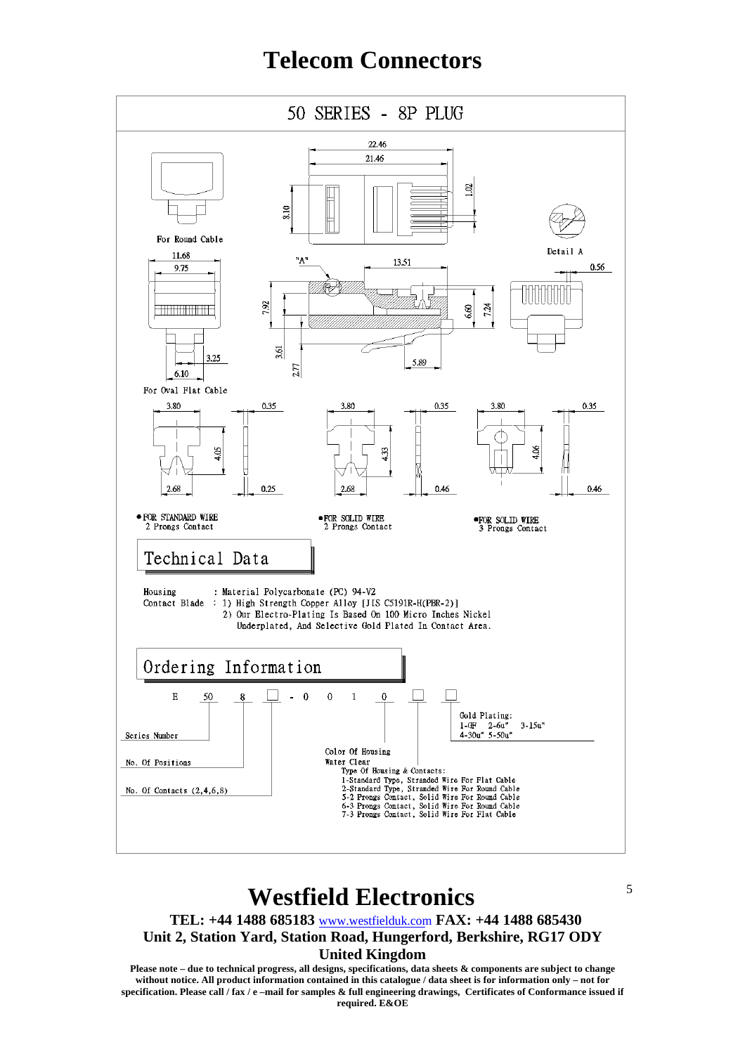

### **Westfield Electronics**

**TEL: +44 1488 685183** www.westfielduk.com **FAX: +44 1488 685430**

**Unit 2, Station Yard, Station Road, Hungerford, Berkshire, RG17 ODY**

#### **United Kingdom**

**Please note – due to technical progress, all designs, specifications, data sheets & components are subject to change without notice. All product information contained in this catalogue / data sheet is for information only – not for specification. Please call / fax / e –mail for samples & full engineering drawings, Certificates of Conformance issued if required. E&OE**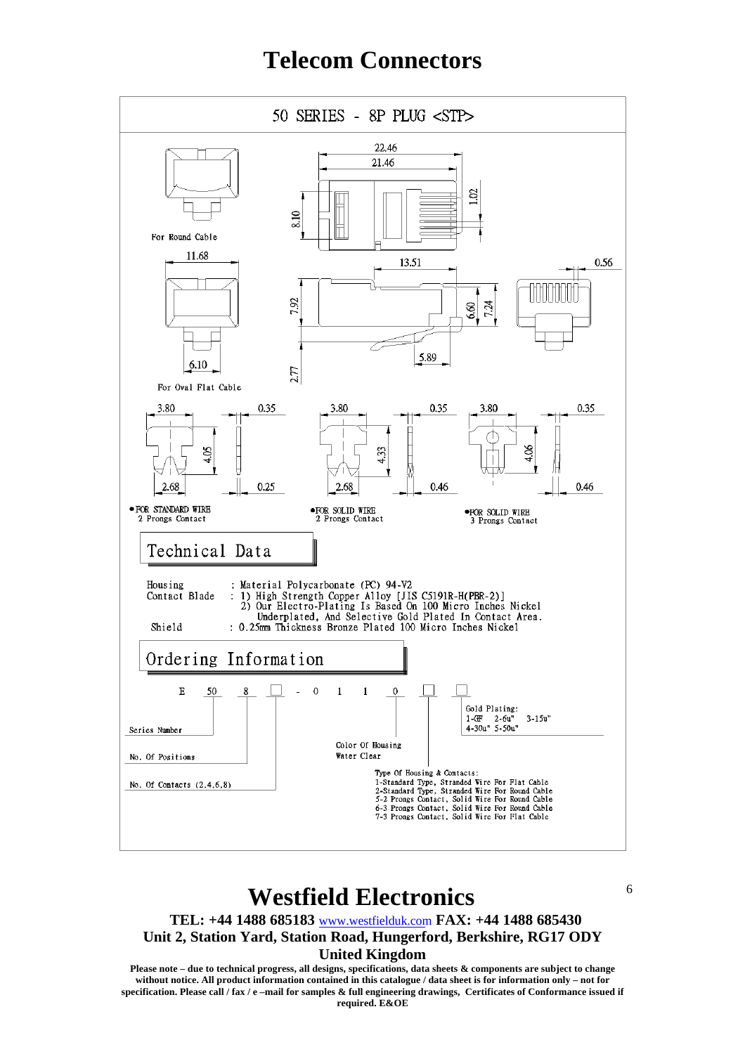

### **Westfield Electronics**

**TEL: +44 1488 685183** www.westfielduk.com **FAX: +44 1488 685430**

6

**Unit 2, Station Yard, Station Road, Hungerford, Berkshire, RG17 ODY**

**United Kingdom**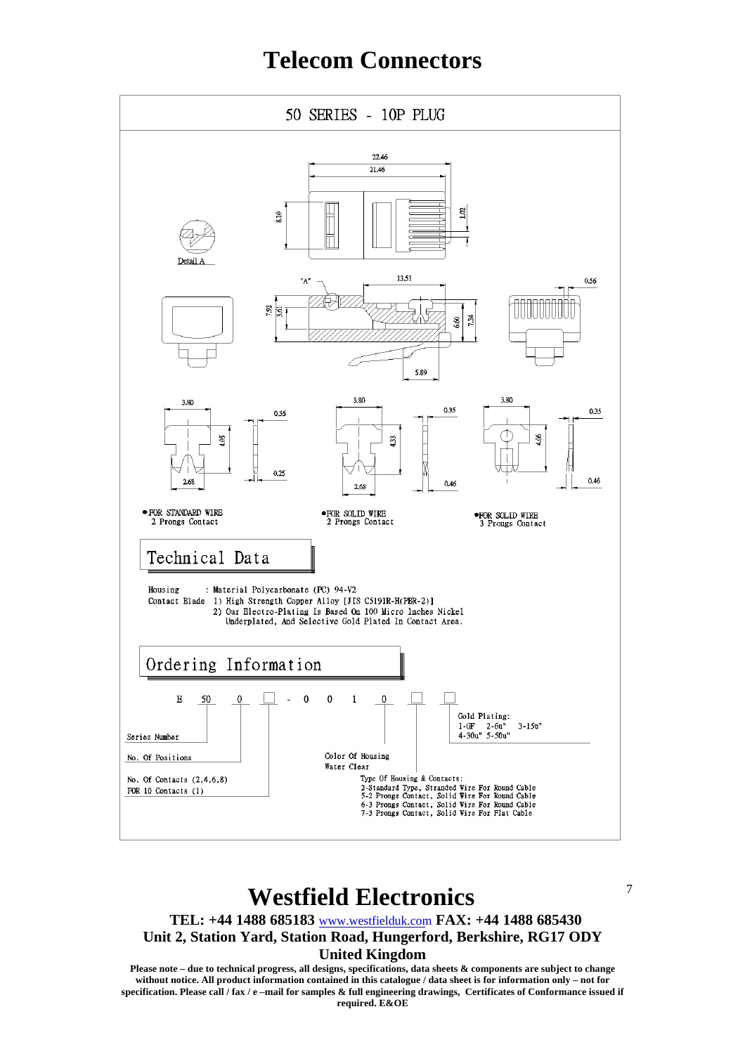

#### **Westfield Electronics**

**TEL: +44 1488 685183** www.westfielduk.com **FAX: +44 1488 685430**

**Unit 2, Station Yard, Station Road, Hungerford, Berkshire, RG17 ODY**

7

**United Kingdom**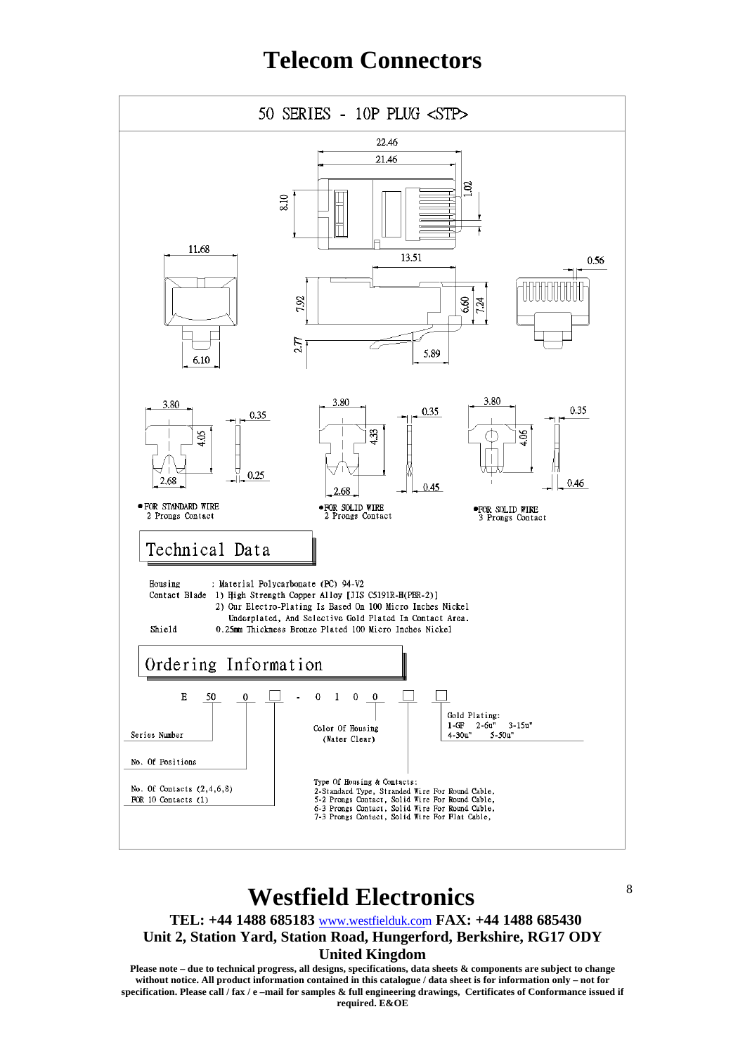

### **Westfield Electronics**

**TEL: +44 1488 685183** www.westfielduk.com **FAX: +44 1488 685430**

8

**Unit 2, Station Yard, Station Road, Hungerford, Berkshire, RG17 ODY**

#### **United Kingdom**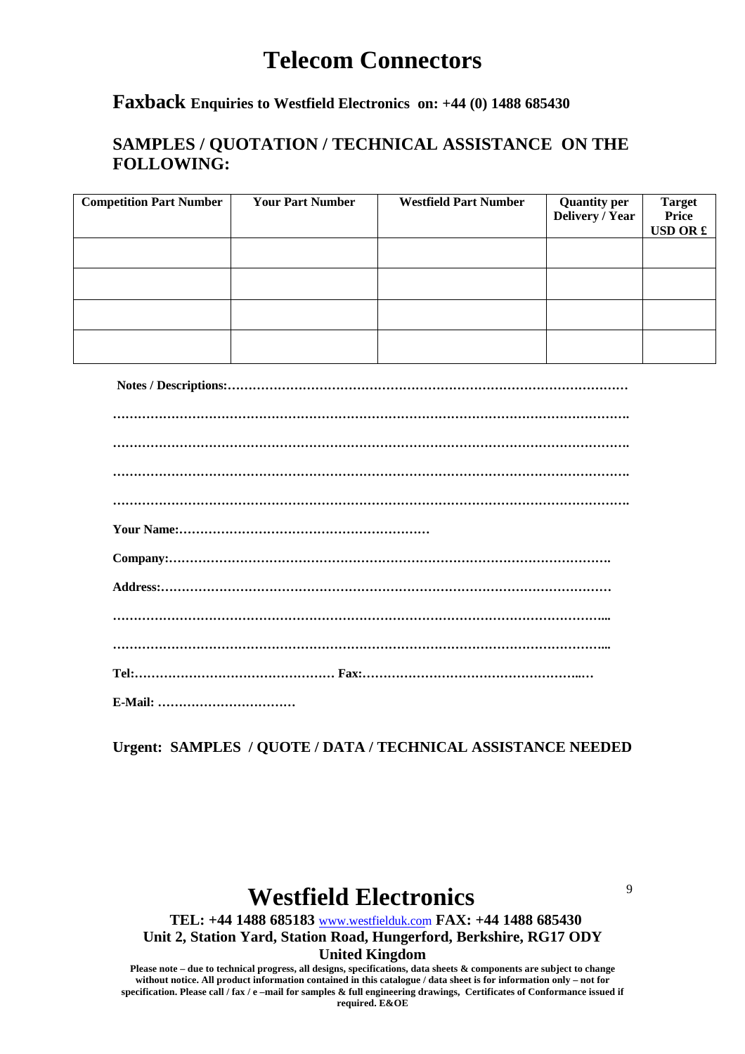#### **Faxback Enquiries to Westfield Electronics on: +44 (0) 1488 685430**

#### **SAMPLES / QUOTATION / TECHNICAL ASSISTANCE ON THE FOLLOWING:**

| <b>Competition Part Number</b> | <b>Your Part Number</b> | <b>Westfield Part Number</b> | <b>Quantity per</b><br>Delivery / Year | <b>Target</b><br>Price<br><b>USD OR £</b> |
|--------------------------------|-------------------------|------------------------------|----------------------------------------|-------------------------------------------|
|                                |                         |                              |                                        |                                           |
|                                |                         |                              |                                        |                                           |
|                                |                         |                              |                                        |                                           |
|                                |                         |                              |                                        |                                           |

**Notes / Descriptions:……………………………………………………………………………………**

| $\begin{minipage}{0.5\textwidth} \begin{tabular}{ l l l } \hline \textbf{0.01} & \textbf{0.01} & \textbf{0.01} & \textbf{0.01} & \textbf{0.01} & \textbf{0.01} & \textbf{0.01} & \textbf{0.01} & \textbf{0.01} & \textbf{0.01} & \textbf{0.01} & \textbf{0.01} & \textbf{0.01} & \textbf{0.01} & \textbf{0.01} & \textbf{0.01} & \textbf{0.01} & \textbf{0.01} & \textbf{0.01}$ |
|---------------------------------------------------------------------------------------------------------------------------------------------------------------------------------------------------------------------------------------------------------------------------------------------------------------------------------------------------------------------------------|
|                                                                                                                                                                                                                                                                                                                                                                                 |
|                                                                                                                                                                                                                                                                                                                                                                                 |
|                                                                                                                                                                                                                                                                                                                                                                                 |
|                                                                                                                                                                                                                                                                                                                                                                                 |
|                                                                                                                                                                                                                                                                                                                                                                                 |
|                                                                                                                                                                                                                                                                                                                                                                                 |
|                                                                                                                                                                                                                                                                                                                                                                                 |
|                                                                                                                                                                                                                                                                                                                                                                                 |
|                                                                                                                                                                                                                                                                                                                                                                                 |

**Urgent: SAMPLES / QUOTE / DATA / TECHNICAL ASSISTANCE NEEDED**

# **Westfield Electronics**

**TEL: +44 1488 685183** www.westfielduk.com **FAX: +44 1488 685430 Unit 2, Station Yard, Station Road, Hungerford, Berkshire, RG17 ODY** 9

#### **United Kingdom**